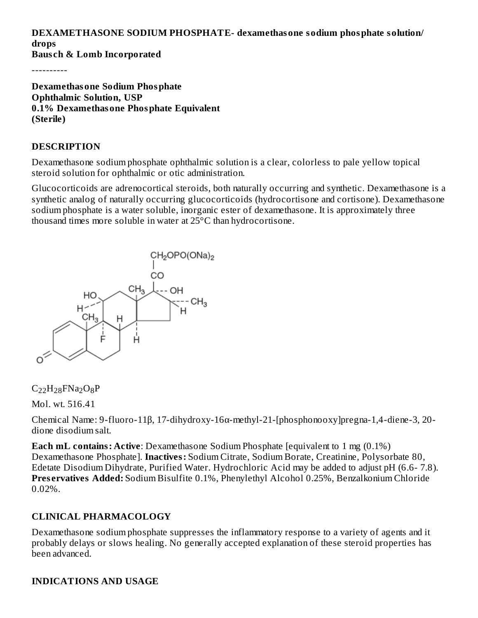# **DEXAMETHASONE SODIUM PHOSPHATE- dexamethasone sodium phosphate solution/ drops**

**Baus ch & Lomb Incorporated**

----------

**Dexamethasone Sodium Phosphate Ophthalmic Solution, USP 0.1% Dexamethasone Phosphate Equivalent (Sterile)**

#### **DESCRIPTION**

Dexamethasone sodium phosphate ophthalmic solution is a clear, colorless to pale yellow topical steroid solution for ophthalmic or otic administration.

Glucocorticoids are adrenocortical steroids, both naturally occurring and synthetic. Dexamethasone is a synthetic analog of naturally occurring glucocorticoids (hydrocortisone and cortisone). Dexamethasone sodium phosphate is a water soluble, inorganic ester of dexamethasone. It is approximately three thousand times more soluble in water at 25°C than hydrocortisone.



# $C_{22}H_{28}FNa_2O_8P$

Mol. wt. 516.41

Chemical Name: 9-fluoro-11β, 17-dihydroxy-16α-methyl-21-[phosphonooxy]pregna-1,4-diene-3, 20 dione disodium salt.

**Each mL contains: Active**: Dexamethasone Sodium Phosphate [equivalent to 1 mg (0.1%) Dexamethasone Phosphate]. **Inactives:** Sodium Citrate, Sodium Borate, Creatinine, Polysorbate 80, Edetate Disodium Dihydrate, Purified Water. Hydrochloric Acid may be added to adjust pH (6.6- 7.8). **Pres ervatives Added:** Sodium Bisulfite 0.1%, Phenylethyl Alcohol 0.25%, Benzalkonium Chloride 0.02%.

#### **CLINICAL PHARMACOLOGY**

Dexamethasone sodium phosphate suppresses the inflammatory response to a variety of agents and it probably delays or slows healing. No generally accepted explanation of these steroid properties has been advanced.

#### **INDICATIONS AND USAGE**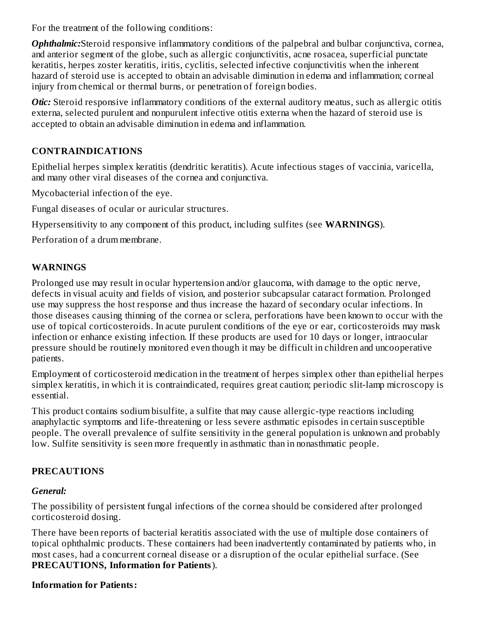For the treatment of the following conditions:

*Ophthalmic:*Steroid responsive inflammatory conditions of the palpebral and bulbar conjunctiva, cornea, and anterior segment of the globe, such as allergic conjunctivitis, acne rosacea, superficial punctate keratitis, herpes zoster keratitis, iritis, cyclitis, selected infective conjunctivitis when the inherent hazard of steroid use is accepted to obtain an advisable diminution in edema and inflammation; corneal injury from chemical or thermal burns, or penetration of foreign bodies.

*Otic:* Steroid responsive inflammatory conditions of the external auditory meatus, such as allergic otitis externa, selected purulent and nonpurulent infective otitis externa when the hazard of steroid use is accepted to obtain an advisable diminution in edema and inflammation.

### **CONTRAINDICATIONS**

Epithelial herpes simplex keratitis (dendritic keratitis). Acute infectious stages of vaccinia, varicella, and many other viral diseases of the cornea and conjunctiva.

Mycobacterial infection of the eye.

Fungal diseases of ocular or auricular structures.

Hypersensitivity to any component of this product, including sulfites (see **WARNINGS**).

Perforation of a drum membrane.

### **WARNINGS**

Prolonged use may result in ocular hypertension and/or glaucoma, with damage to the optic nerve, defects in visual acuity and fields of vision, and posterior subcapsular cataract formation. Prolonged use may suppress the host response and thus increase the hazard of secondary ocular infections. In those diseases causing thinning of the cornea or sclera, perforations have been known to occur with the use of topical corticosteroids. In acute purulent conditions of the eye or ear, corticosteroids may mask infection or enhance existing infection. If these products are used for 10 days or longer, intraocular pressure should be routinely monitored even though it may be difficult in children and uncooperative patients.

Employment of corticosteroid medication in the treatment of herpes simplex other than epithelial herpes simplex keratitis, in which it is contraindicated, requires great caution; periodic slit-lamp microscopy is essential.

This product contains sodium bisulfite, a sulfite that may cause allergic-type reactions including anaphylactic symptoms and life-threatening or less severe asthmatic episodes in certain susceptible people. The overall prevalence of sulfite sensitivity in the general population is unknown and probably low. Sulfite sensitivity is seen more frequently in asthmatic than in nonasthmatic people.

### **PRECAUTIONS**

### *General:*

The possibility of persistent fungal infections of the cornea should be considered after prolonged corticosteroid dosing.

There have been reports of bacterial keratitis associated with the use of multiple dose containers of topical ophthalmic products. These containers had been inadvertently contaminated by patients who, in most cases, had a concurrent corneal disease or a disruption of the ocular epithelial surface. (See **PRECAUTIONS, Information for Patients**).

### **Information for Patients:**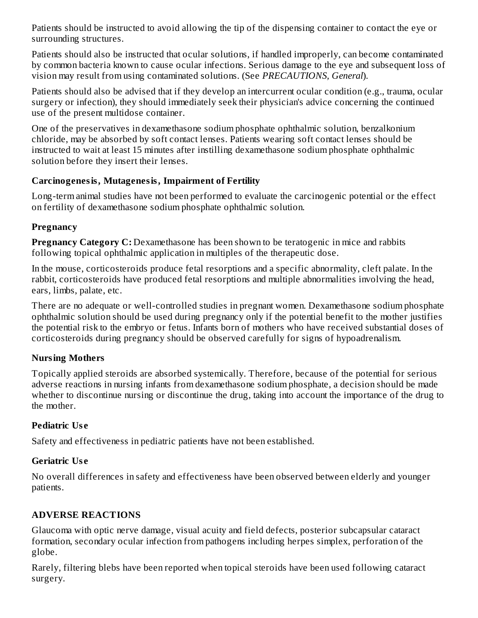Patients should be instructed to avoid allowing the tip of the dispensing container to contact the eye or surrounding structures.

Patients should also be instructed that ocular solutions, if handled improperly, can become contaminated by common bacteria known to cause ocular infections. Serious damage to the eye and subsequent loss of vision may result from using contaminated solutions. (See *PRECAUTIONS, General*).

Patients should also be advised that if they develop an intercurrent ocular condition (e.g., trauma, ocular surgery or infection), they should immediately seek their physician's advice concerning the continued use of the present multidose container.

One of the preservatives in dexamethasone sodium phosphate ophthalmic solution, benzalkonium chloride, may be absorbed by soft contact lenses. Patients wearing soft contact lenses should be instructed to wait at least 15 minutes after instilling dexamethasone sodium phosphate ophthalmic solution before they insert their lenses.

#### **Carcinogenesis, Mutagenesis, Impairment of Fertility**

Long-term animal studies have not been performed to evaluate the carcinogenic potential or the effect on fertility of dexamethasone sodium phosphate ophthalmic solution.

### **Pregnancy**

**Pregnancy Category C:** Dexamethasone has been shown to be teratogenic in mice and rabbits following topical ophthalmic application in multiples of the therapeutic dose.

In the mouse, corticosteroids produce fetal resorptions and a specific abnormality, cleft palate. In the rabbit, corticosteroids have produced fetal resorptions and multiple abnormalities involving the head, ears, limbs, palate, etc.

There are no adequate or well-controlled studies in pregnant women. Dexamethasone sodium phosphate ophthalmic solution should be used during pregnancy only if the potential benefit to the mother justifies the potential risk to the embryo or fetus. Infants born of mothers who have received substantial doses of corticosteroids during pregnancy should be observed carefully for signs of hypoadrenalism.

### **Nursing Mothers**

Topically applied steroids are absorbed systemically. Therefore, because of the potential for serious adverse reactions in nursing infants from dexamethasone sodium phosphate, a decision should be made whether to discontinue nursing or discontinue the drug, taking into account the importance of the drug to the mother.

### **Pediatric Us e**

Safety and effectiveness in pediatric patients have not been established.

### **Geriatric Us e**

No overall differences in safety and effectiveness have been observed between elderly and younger patients.

# **ADVERSE REACTIONS**

Glaucoma with optic nerve damage, visual acuity and field defects, posterior subcapsular cataract formation, secondary ocular infection from pathogens including herpes simplex, perforation of the globe.

Rarely, filtering blebs have been reported when topical steroids have been used following cataract surgery.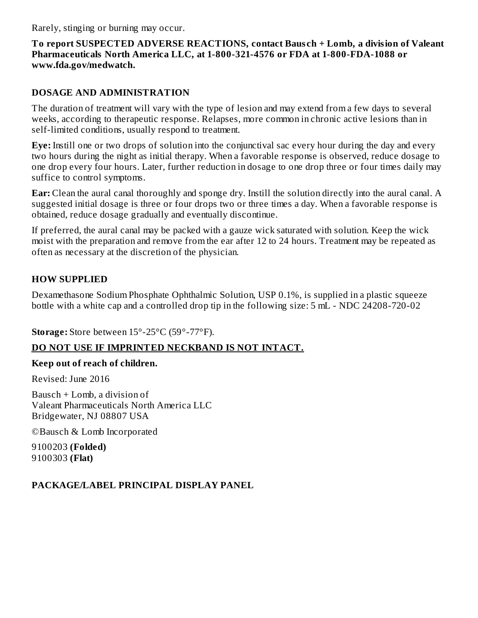Rarely, stinging or burning may occur.

#### **To report SUSPECTED ADVERSE REACTIONS, contact Baus ch + Lomb, a division of Valeant Pharmaceuticals North America LLC, at 1-800-321-4576 or FDA at 1-800-FDA-1088 or www.fda.gov/medwatch.**

#### **DOSAGE AND ADMINISTRATION**

The duration of treatment will vary with the type of lesion and may extend from a few days to several weeks, according to therapeutic response. Relapses, more common in chronic active lesions than in self-limited conditions, usually respond to treatment.

**Eye:** Instill one or two drops of solution into the conjunctival sac every hour during the day and every two hours during the night as initial therapy. When a favorable response is observed, reduce dosage to one drop every four hours. Later, further reduction in dosage to one drop three or four times daily may suffice to control symptoms.

**Ear:** Clean the aural canal thoroughly and sponge dry. Instill the solution directly into the aural canal. A suggested initial dosage is three or four drops two or three times a day. When a favorable response is obtained, reduce dosage gradually and eventually discontinue.

If preferred, the aural canal may be packed with a gauze wick saturated with solution. Keep the wick moist with the preparation and remove from the ear after 12 to 24 hours. Treatment may be repeated as often as necessary at the discretion of the physician.

### **HOW SUPPLIED**

Dexamethasone Sodium Phosphate Ophthalmic Solution, USP 0.1%, is supplied in a plastic squeeze bottle with a white cap and a controlled drop tip in the following size: 5 mL - NDC 24208-720-02

**Storage:** Store between 15°-25°C (59°-77°F).

### **DO NOT USE IF IMPRINTED NECKBAND IS NOT INTACT.**

#### **Keep out of reach of children.**

Revised: June 2016

Bausch + Lomb, a division of Valeant Pharmaceuticals North America LLC Bridgewater, NJ 08807 USA

©Bausch & Lomb Incorporated

9100203 **(Folded)** 9100303 **(Flat)**

### **PACKAGE/LABEL PRINCIPAL DISPLAY PANEL**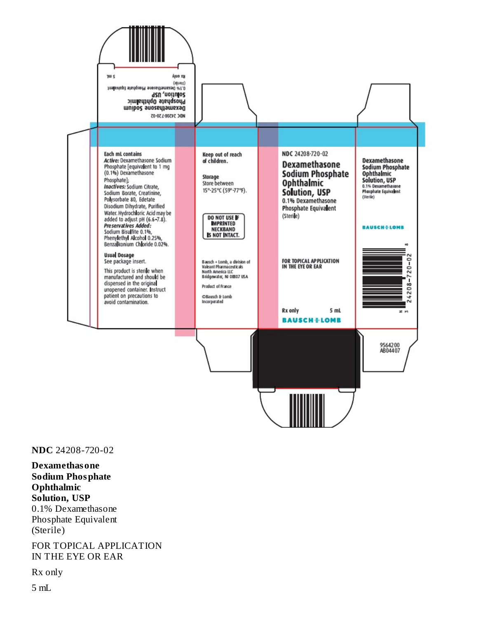

**NDC** 24208-720-02

**Dexamethasone Sodium Phosphate Ophthalmic Solution, USP** 0.1% Dexamethasone Phosphate Equivalent (Sterile)

FOR TOPICAL APPLICATION IN THE EYE OR EAR

Rx only

5 mL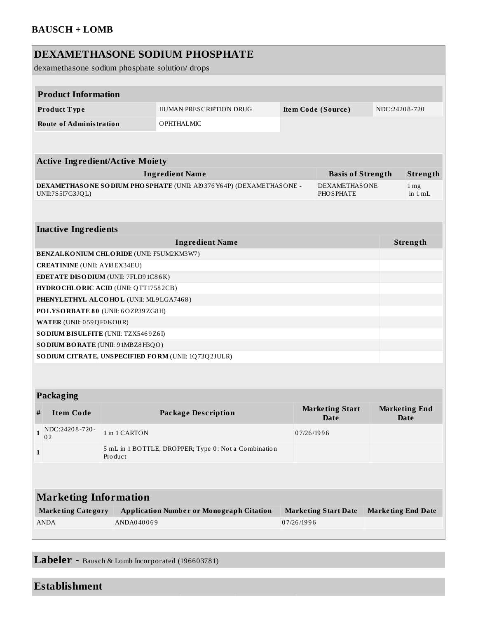| DEXAMETHASONE SODIUM PHOSPHATE<br>dexamethasone sodium phosphate solution/drops                                                    |                                |                             |                                                      |                                       |                                     |  |                            |  |  |
|------------------------------------------------------------------------------------------------------------------------------------|--------------------------------|-----------------------------|------------------------------------------------------|---------------------------------------|-------------------------------------|--|----------------------------|--|--|
|                                                                                                                                    |                                |                             |                                                      |                                       |                                     |  |                            |  |  |
|                                                                                                                                    | <b>Product Information</b>     |                             |                                                      |                                       |                                     |  |                            |  |  |
|                                                                                                                                    | Product Type                   |                             | HUMAN PRESCRIPTION DRUG                              |                                       | Item Code (Source)                  |  | NDC:24208-720              |  |  |
|                                                                                                                                    | <b>Route of Administration</b> |                             | OPHTHALMIC                                           |                                       |                                     |  |                            |  |  |
|                                                                                                                                    |                                |                             |                                                      |                                       |                                     |  |                            |  |  |
| <b>Active Ingredient/Active Moiety</b>                                                                                             |                                |                             |                                                      |                                       |                                     |  |                            |  |  |
| <b>Ingredient Name</b><br><b>Basis of Strength</b>                                                                                 |                                |                             |                                                      |                                       |                                     |  | Strength                   |  |  |
| DEXAMETHASONE SODIUM PHOSPHATE (UNII: AI9376Y64P) (DEXAMETHASONE -<br><b>DEXAMETHASONE</b><br>UNII:7S5I7G3JQL)<br><b>PHOSPHATE</b> |                                |                             |                                                      |                                       |                                     |  | 1 <sub>mg</sub><br>in 1 mL |  |  |
|                                                                                                                                    |                                |                             |                                                      |                                       |                                     |  |                            |  |  |
| <b>Inactive Ingredients</b>                                                                                                        |                                |                             |                                                      |                                       |                                     |  |                            |  |  |
| <b>Ingredient Name</b>                                                                                                             |                                |                             |                                                      |                                       |                                     |  | Strength                   |  |  |
| <b>BENZALKONIUM CHLORIDE (UNII: F5UM2KM3W7)</b>                                                                                    |                                |                             |                                                      |                                       |                                     |  |                            |  |  |
| <b>CREATININE</b> (UNII: AYI8 EX34EU)                                                                                              |                                |                             |                                                      |                                       |                                     |  |                            |  |  |
| <b>EDETATE DISODIUM</b> (UNII: 7FLD9 1C86K)                                                                                        |                                |                             |                                                      |                                       |                                     |  |                            |  |  |
| HYDRO CHLORIC ACID (UNII: QTT17582CB)                                                                                              |                                |                             |                                                      |                                       |                                     |  |                            |  |  |
| PHENYLETHYL ALCOHOL (UNII: ML9LGA7468)                                                                                             |                                |                             |                                                      |                                       |                                     |  |                            |  |  |
| POLYSORBATE 80 (UNII: 6OZP39ZG8H)                                                                                                  |                                |                             |                                                      |                                       |                                     |  |                            |  |  |
| WATER (UNII: 059 QF0 KO0 R)<br>SODIUM BISULFITE (UNII: TZX5469Z6I)                                                                 |                                |                             |                                                      |                                       |                                     |  |                            |  |  |
| SODIUM BORATE (UNII: 91MBZ8H3QO)                                                                                                   |                                |                             |                                                      |                                       |                                     |  |                            |  |  |
| SO DIUM CITRATE, UNSPECIFIED FORM (UNII: 1Q73Q2JULR)                                                                               |                                |                             |                                                      |                                       |                                     |  |                            |  |  |
|                                                                                                                                    |                                |                             |                                                      |                                       |                                     |  |                            |  |  |
|                                                                                                                                    |                                |                             |                                                      |                                       |                                     |  |                            |  |  |
| Packaging                                                                                                                          |                                |                             |                                                      |                                       |                                     |  |                            |  |  |
| #                                                                                                                                  | <b>Item Code</b>               | <b>Package Description</b>  |                                                      | <b>Marketing Start</b><br><b>Date</b> | <b>Marketing End</b><br><b>Date</b> |  |                            |  |  |
| $\mathbf{1}$                                                                                                                       | NDC:24208-720-<br>02           | 1 in 1 CARTON<br>07/26/1996 |                                                      |                                       |                                     |  |                            |  |  |
| 1                                                                                                                                  |                                | Product                     | 5 mL in 1 BOTTLE, DROPPER; Type 0: Not a Combination |                                       |                                     |  |                            |  |  |
|                                                                                                                                    |                                |                             |                                                      |                                       |                                     |  |                            |  |  |
| <b>Marketing Information</b>                                                                                                       |                                |                             |                                                      |                                       |                                     |  |                            |  |  |
| <b>Marketing Category</b>                                                                                                          |                                |                             | <b>Application Number or Monograph Citation</b>      |                                       | <b>Marketing Start Date</b>         |  | <b>Marketing End Date</b>  |  |  |
| <b>ANDA</b>                                                                                                                        |                                | ANDA040069                  |                                                      | 07/26/1996                            |                                     |  |                            |  |  |
|                                                                                                                                    |                                |                             |                                                      |                                       |                                     |  |                            |  |  |
|                                                                                                                                    |                                |                             |                                                      |                                       |                                     |  |                            |  |  |

**Labeler -** Baus ch & Lomb Incorporated (196603781)